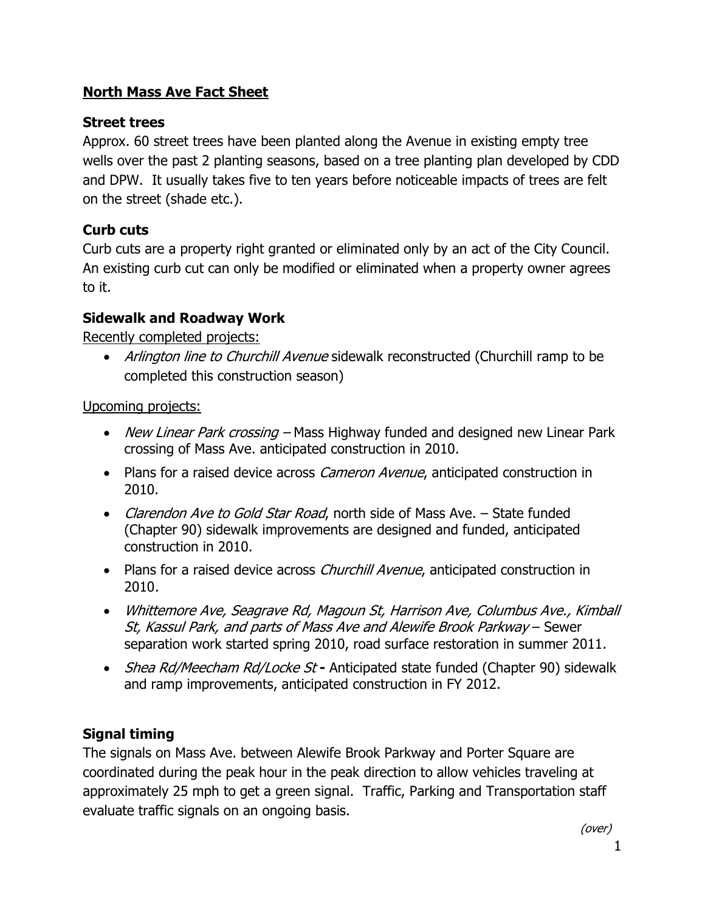## North Mass Ave Fact Sheet

## Street trees

Approx. 60 street trees have been planted along the Avenue in existing empty tree wells over the past 2 planting seasons, based on a tree planting plan developed by CDD and DPW. It usually takes five to ten years before noticeable impacts of trees are felt on the street (shade etc.).

# Curb cuts

Curb cuts are a property right granted or eliminated only by an act of the City Council. An existing curb cut can only be modified or eliminated when a property owner agrees to it.

# Sidewalk and Roadway Work

Recently completed projects:

• Arlington line to Churchill Avenue sidewalk reconstructed (Churchill ramp to be completed this construction season)

Upcoming projects:

- New Linear Park crossing Mass Highway funded and designed new Linear Park crossing of Mass Ave. anticipated construction in 2010.
- Plans for a raised device across *Cameron Avenue*, anticipated construction in 2010.
- Clarendon Ave to Gold Star Road, north side of Mass Ave. State funded (Chapter 90) sidewalk improvements are designed and funded, anticipated construction in 2010.
- Plans for a raised device across *Churchill Avenue*, anticipated construction in 2010.
- Whittemore Ave, Seagrave Rd, Magoun St, Harrison Ave, Columbus Ave., Kimball St, Kassul Park, and parts of Mass Ave and Alewife Brook Parkway – Sewer separation work started spring 2010, road surface restoration in summer 2011.
- Shea Rd/Meecham Rd/Locke St Anticipated state funded (Chapter 90) sidewalk and ramp improvements, anticipated construction in FY 2012.

# Signal timing

The signals on Mass Ave. between Alewife Brook Parkway and Porter Square are coordinated during the peak hour in the peak direction to allow vehicles traveling at approximately 25 mph to get a green signal. Traffic, Parking and Transportation staff evaluate traffic signals on an ongoing basis.

(over)